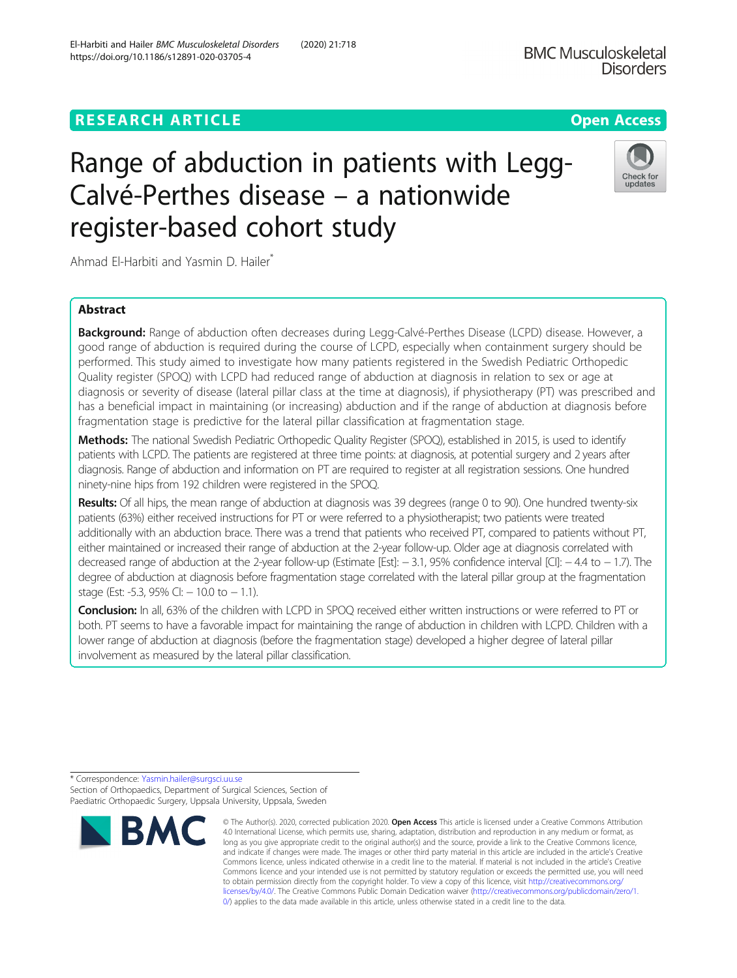# **RESEARCH ARTICLE Example 2014 12:30 The Contract of Contract ACCESS**

# Range of abduction in patients with Legg-Calvé-Perthes disease – a nationwide register-based cohort study

Ahmad El-Harbiti and Yasmin D. Hailer<sup>\*</sup>

# Abstract

Background: Range of abduction often decreases during Legg-Calvé-Perthes Disease (LCPD) disease. However, a good range of abduction is required during the course of LCPD, especially when containment surgery should be performed. This study aimed to investigate how many patients registered in the Swedish Pediatric Orthopedic Quality register (SPOQ) with LCPD had reduced range of abduction at diagnosis in relation to sex or age at diagnosis or severity of disease (lateral pillar class at the time at diagnosis), if physiotherapy (PT) was prescribed and has a beneficial impact in maintaining (or increasing) abduction and if the range of abduction at diagnosis before fragmentation stage is predictive for the lateral pillar classification at fragmentation stage.

Methods: The national Swedish Pediatric Orthopedic Quality Register (SPOQ), established in 2015, is used to identify patients with LCPD. The patients are registered at three time points: at diagnosis, at potential surgery and 2 years after diagnosis. Range of abduction and information on PT are required to register at all registration sessions. One hundred ninety-nine hips from 192 children were registered in the SPOQ.

Results: Of all hips, the mean range of abduction at diagnosis was 39 degrees (range 0 to 90). One hundred twenty-six patients (63%) either received instructions for PT or were referred to a physiotherapist; two patients were treated additionally with an abduction brace. There was a trend that patients who received PT, compared to patients without PT, either maintained or increased their range of abduction at the 2-year follow-up. Older age at diagnosis correlated with decreased range of abduction at the 2-year follow-up (Estimate [Est]: − 3.1, 95% confidence interval [CI]: − 4.4 to − 1.7). The degree of abduction at diagnosis before fragmentation stage correlated with the lateral pillar group at the fragmentation stage (Est: -5.3, 95% CI:  $-10.0$  to  $-1.1$ ).

Conclusion: In all, 63% of the children with LCPD in SPOQ received either written instructions or were referred to PT or both. PT seems to have a favorable impact for maintaining the range of abduction in children with LCPD. Children with a lower range of abduction at diagnosis (before the fragmentation stage) developed a higher degree of lateral pillar involvement as measured by the lateral pillar classification.



© The Author(s). 2020, corrected publication 2020. Open Access This article is licensed under a Creative Commons Attribution

**BMC Musculoskeletal** 



**Disorders** 



<sup>\*</sup> Correspondence: [Yasmin.hailer@surgsci.uu.se](mailto:Yasmin.hailer@surgsci.uu.se) Section of Orthopaedics, Department of Surgical Sciences, Section of Paediatric Orthopaedic Surgery, Uppsala University, Uppsala, Sweden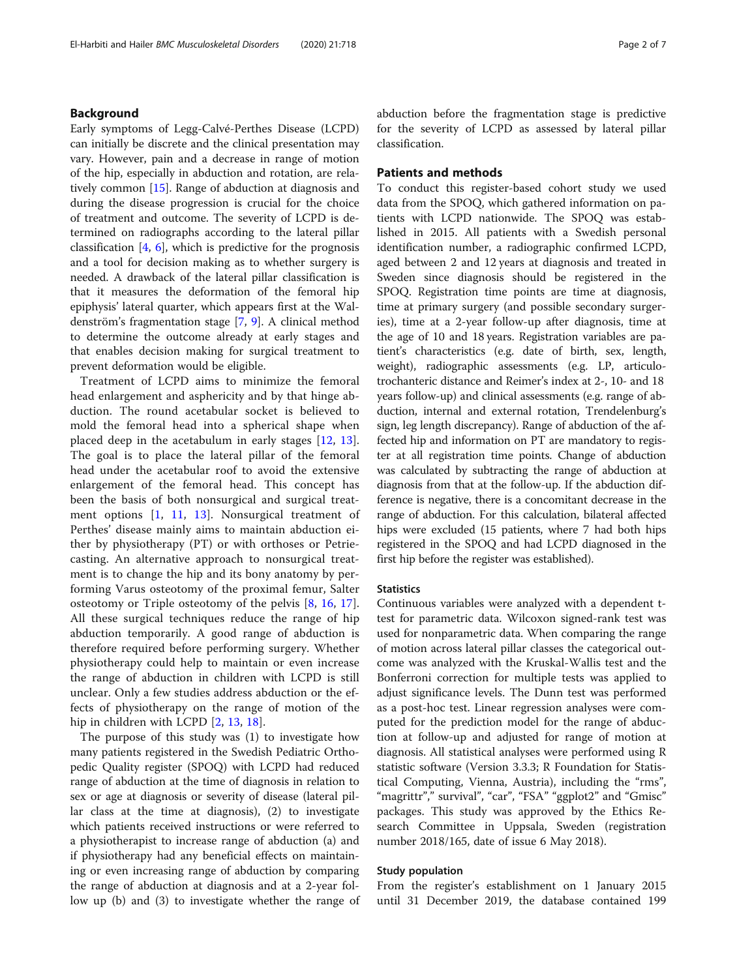# Background

Early symptoms of Legg-Calvé-Perthes Disease (LCPD) can initially be discrete and the clinical presentation may vary. However, pain and a decrease in range of motion of the hip, especially in abduction and rotation, are relatively common [[15\]](#page-6-0). Range of abduction at diagnosis and during the disease progression is crucial for the choice of treatment and outcome. The severity of LCPD is determined on radiographs according to the lateral pillar classification  $[4, 6]$  $[4, 6]$  $[4, 6]$  $[4, 6]$ , which is predictive for the prognosis and a tool for decision making as to whether surgery is needed. A drawback of the lateral pillar classification is that it measures the deformation of the femoral hip epiphysis' lateral quarter, which appears first at the Waldenström's fragmentation stage [[7,](#page-6-0) [9\]](#page-6-0). A clinical method to determine the outcome already at early stages and that enables decision making for surgical treatment to prevent deformation would be eligible.

Treatment of LCPD aims to minimize the femoral head enlargement and asphericity and by that hinge abduction. The round acetabular socket is believed to mold the femoral head into a spherical shape when placed deep in the acetabulum in early stages [[12](#page-6-0), [13](#page-6-0)]. The goal is to place the lateral pillar of the femoral head under the acetabular roof to avoid the extensive enlargement of the femoral head. This concept has been the basis of both nonsurgical and surgical treatment options [[1,](#page-6-0) [11,](#page-6-0) [13](#page-6-0)]. Nonsurgical treatment of Perthes' disease mainly aims to maintain abduction either by physiotherapy (PT) or with orthoses or Petriecasting. An alternative approach to nonsurgical treatment is to change the hip and its bony anatomy by performing Varus osteotomy of the proximal femur, Salter osteotomy or Triple osteotomy of the pelvis [[8](#page-6-0), [16,](#page-6-0) [17](#page-6-0)]. All these surgical techniques reduce the range of hip abduction temporarily. A good range of abduction is therefore required before performing surgery. Whether physiotherapy could help to maintain or even increase the range of abduction in children with LCPD is still unclear. Only a few studies address abduction or the effects of physiotherapy on the range of motion of the hip in children with LCPD [[2,](#page-6-0) [13](#page-6-0), [18](#page-6-0)].

The purpose of this study was (1) to investigate how many patients registered in the Swedish Pediatric Orthopedic Quality register (SPOQ) with LCPD had reduced range of abduction at the time of diagnosis in relation to sex or age at diagnosis or severity of disease (lateral pillar class at the time at diagnosis), (2) to investigate which patients received instructions or were referred to a physiotherapist to increase range of abduction (a) and if physiotherapy had any beneficial effects on maintaining or even increasing range of abduction by comparing the range of abduction at diagnosis and at a 2-year follow up (b) and (3) to investigate whether the range of abduction before the fragmentation stage is predictive for the severity of LCPD as assessed by lateral pillar classification.

## Patients and methods

To conduct this register-based cohort study we used data from the SPOQ, which gathered information on patients with LCPD nationwide. The SPOQ was established in 2015. All patients with a Swedish personal identification number, a radiographic confirmed LCPD, aged between 2 and 12 years at diagnosis and treated in Sweden since diagnosis should be registered in the SPOQ. Registration time points are time at diagnosis, time at primary surgery (and possible secondary surgeries), time at a 2-year follow-up after diagnosis, time at the age of 10 and 18 years. Registration variables are patient's characteristics (e.g. date of birth, sex, length, weight), radiographic assessments (e.g. LP, articulotrochanteric distance and Reimer's index at 2-, 10- and 18 years follow-up) and clinical assessments (e.g. range of abduction, internal and external rotation, Trendelenburg's sign, leg length discrepancy). Range of abduction of the affected hip and information on PT are mandatory to register at all registration time points. Change of abduction was calculated by subtracting the range of abduction at diagnosis from that at the follow-up. If the abduction difference is negative, there is a concomitant decrease in the range of abduction. For this calculation, bilateral affected hips were excluded (15 patients, where 7 had both hips registered in the SPOQ and had LCPD diagnosed in the first hip before the register was established).

#### **Statistics**

Continuous variables were analyzed with a dependent ttest for parametric data. Wilcoxon signed-rank test was used for nonparametric data. When comparing the range of motion across lateral pillar classes the categorical outcome was analyzed with the Kruskal-Wallis test and the Bonferroni correction for multiple tests was applied to adjust significance levels. The Dunn test was performed as a post-hoc test. Linear regression analyses were computed for the prediction model for the range of abduction at follow-up and adjusted for range of motion at diagnosis. All statistical analyses were performed using R statistic software (Version 3.3.3; R Foundation for Statistical Computing, Vienna, Austria), including the "rms", "magrittr"," survival", "car", "FSA" "ggplot2" and "Gmisc" packages. This study was approved by the Ethics Research Committee in Uppsala, Sweden (registration number 2018/165, date of issue 6 May 2018).

#### Study population

From the register's establishment on 1 January 2015 until 31 December 2019, the database contained 199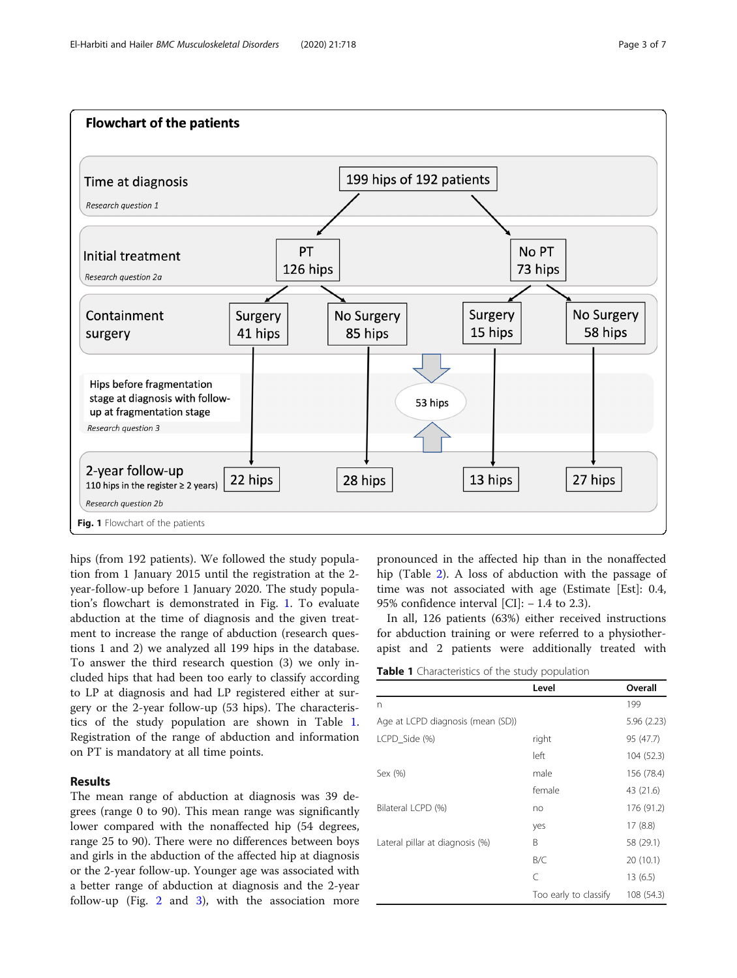

hips (from 192 patients). We followed the study population from 1 January 2015 until the registration at the 2 year-follow-up before 1 January 2020. The study population's flowchart is demonstrated in Fig. 1. To evaluate abduction at the time of diagnosis and the given treatment to increase the range of abduction (research questions 1 and 2) we analyzed all 199 hips in the database. To answer the third research question (3) we only included hips that had been too early to classify according to LP at diagnosis and had LP registered either at surgery or the 2-year follow-up (53 hips). The characteristics of the study population are shown in Table 1. Registration of the range of abduction and information on PT is mandatory at all time points.

# Results

The mean range of abduction at diagnosis was 39 degrees (range 0 to 90). This mean range was significantly lower compared with the nonaffected hip (54 degrees, range 25 to 90). There were no differences between boys and girls in the abduction of the affected hip at diagnosis or the 2-year follow-up. Younger age was associated with a better range of abduction at diagnosis and the 2-year follow-up (Fig. [2](#page-3-0) and [3](#page-3-0)), with the association more

pronounced in the affected hip than in the nonaffected hip (Table [2\)](#page-4-0). A loss of abduction with the passage of time was not associated with age (Estimate [Est]: 0.4, 95% confidence interval [CI]: − 1.4 to 2.3).

In all, 126 patients (63%) either received instructions for abduction training or were referred to a physiotherapist and 2 patients were additionally treated with

Table 1 Characteristics of the study population

|                                   | Level                 | Overall     |
|-----------------------------------|-----------------------|-------------|
| n                                 |                       | 199         |
| Age at LCPD diagnosis (mean (SD)) |                       | 5.96 (2.23) |
| LCPD Side (%)                     | right                 | 95 (47.7)   |
|                                   | left                  | 104 (52.3)  |
| Sex (%)                           | male                  | 156 (78.4)  |
|                                   | female                | 43 (21.6)   |
| Bilateral LCPD (%)                | no                    | 176 (91.2)  |
|                                   | yes                   | 17(8.8)     |
| Lateral pillar at diagnosis (%)   | B                     | 58 (29.1)   |
|                                   | B/C                   | 20(10.1)    |
|                                   | C                     | 13(6.5)     |
|                                   | Too early to classify | 108 (54.3)  |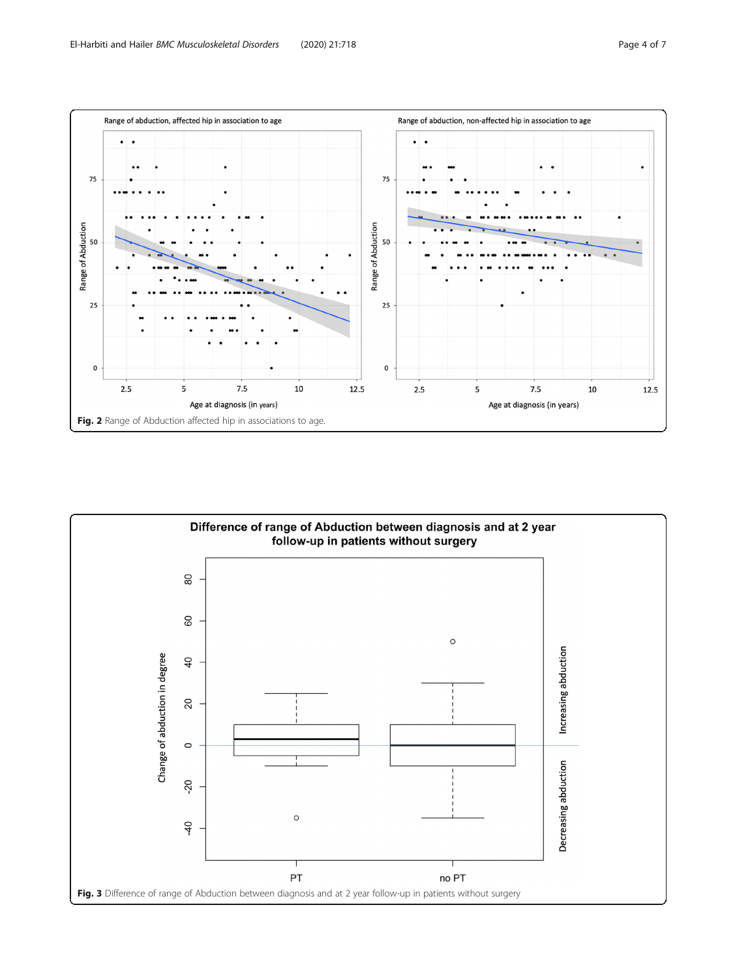<span id="page-3-0"></span>

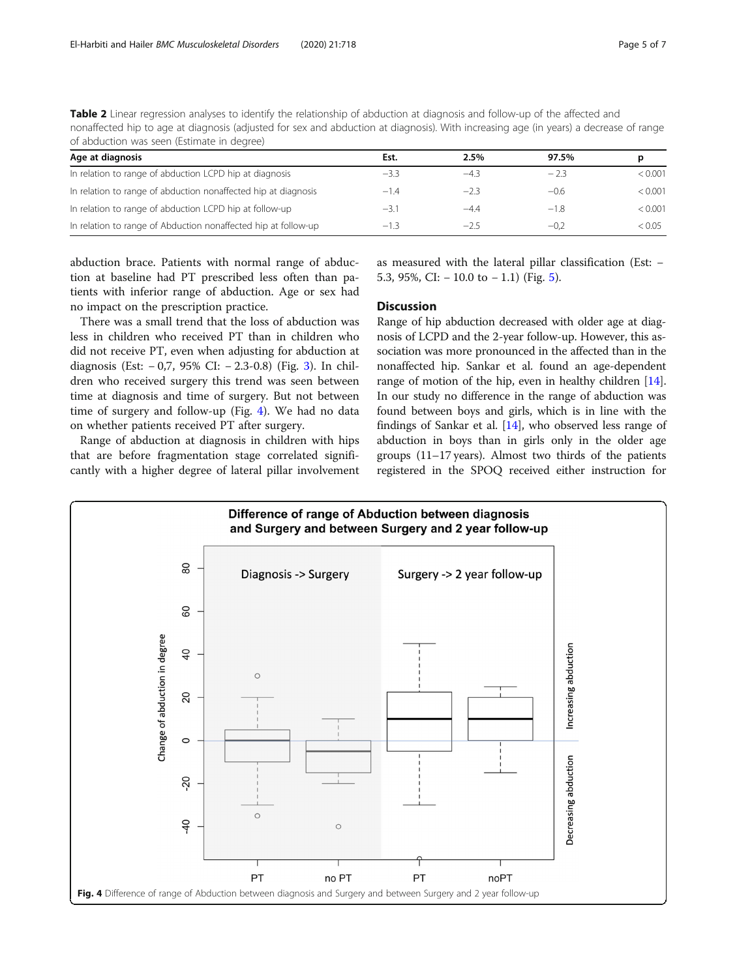<span id="page-4-0"></span>Table 2 Linear regression analyses to identify the relationship of abduction at diagnosis and follow-up of the affected and nonaffected hip to age at diagnosis (adjusted for sex and abduction at diagnosis). With increasing age (in years) a decrease of range of abduction was seen (Estimate in degree)

| Age at diagnosis                                               | Est.   | 2.5%   | 97.5%  | D       |
|----------------------------------------------------------------|--------|--------|--------|---------|
| In relation to range of abduction LCPD hip at diagnosis        | $-3.3$ | $-4.3$ | $-2.3$ | < 0.001 |
| In relation to range of abduction nonaffected hip at diagnosis | $-1.4$ | $-2.3$ | $-0.6$ | < 0.001 |
| In relation to range of abduction LCPD hip at follow-up        | $-3.1$ | $-4.4$ | $-1.8$ | < 0.001 |
| In relation to range of Abduction nonaffected hip at follow-up | $-1.3$ | $-25$  | $-0.2$ | < 0.05  |

abduction brace. Patients with normal range of abduction at baseline had PT prescribed less often than patients with inferior range of abduction. Age or sex had no impact on the prescription practice.

There was a small trend that the loss of abduction was less in children who received PT than in children who did not receive PT, even when adjusting for abduction at diagnosis (Est: − 0,7, 95% CI: − 2.3-0.8) (Fig. [3](#page-3-0)). In children who received surgery this trend was seen between time at diagnosis and time of surgery. But not between time of surgery and follow-up (Fig. 4). We had no data on whether patients received PT after surgery.

Range of abduction at diagnosis in children with hips that are before fragmentation stage correlated significantly with a higher degree of lateral pillar involvement

as measured with the lateral pillar classification (Est: − 5.3, 95%, CI:  $-10.0$  to  $-1.1$ ) (Fig. [5\)](#page-5-0).

### **Discussion**

Range of hip abduction decreased with older age at diagnosis of LCPD and the 2-year follow-up. However, this association was more pronounced in the affected than in the nonaffected hip. Sankar et al. found an age-dependent range of motion of the hip, even in healthy children [[14](#page-6-0)]. In our study no difference in the range of abduction was found between boys and girls, which is in line with the findings of Sankar et al. [\[14\]](#page-6-0), who observed less range of abduction in boys than in girls only in the older age groups (11–17 years). Almost two thirds of the patients registered in the SPOQ received either instruction for

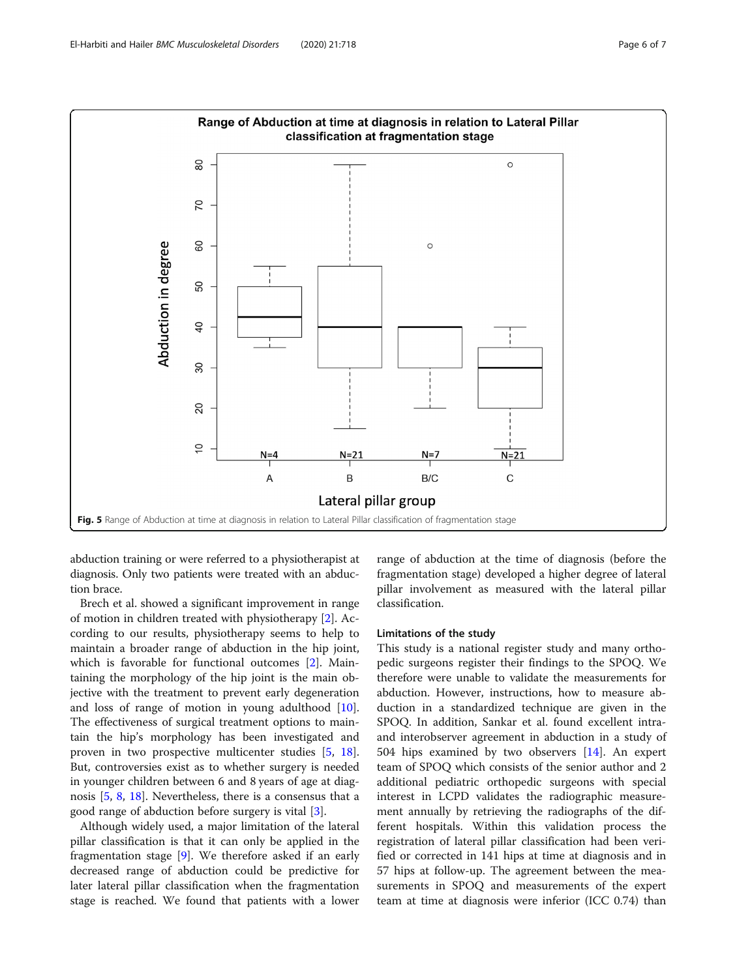<span id="page-5-0"></span>

abduction training or were referred to a physiotherapist at diagnosis. Only two patients were treated with an abduction brace.

Brech et al. showed a significant improvement in range of motion in children treated with physiotherapy [\[2](#page-6-0)]. According to our results, physiotherapy seems to help to maintain a broader range of abduction in the hip joint, which is favorable for functional outcomes [\[2](#page-6-0)]. Maintaining the morphology of the hip joint is the main objective with the treatment to prevent early degeneration and loss of range of motion in young adulthood [\[10](#page-6-0)]. The effectiveness of surgical treatment options to maintain the hip's morphology has been investigated and proven in two prospective multicenter studies [\[5](#page-6-0), [18](#page-6-0)]. But, controversies exist as to whether surgery is needed in younger children between 6 and 8 years of age at diagnosis [[5,](#page-6-0) [8](#page-6-0), [18](#page-6-0)]. Nevertheless, there is a consensus that a good range of abduction before surgery is vital [[3\]](#page-6-0).

Although widely used, a major limitation of the lateral pillar classification is that it can only be applied in the fragmentation stage [\[9](#page-6-0)]. We therefore asked if an early decreased range of abduction could be predictive for later lateral pillar classification when the fragmentation stage is reached. We found that patients with a lower range of abduction at the time of diagnosis (before the fragmentation stage) developed a higher degree of lateral pillar involvement as measured with the lateral pillar classification.

# Limitations of the study

This study is a national register study and many orthopedic surgeons register their findings to the SPOQ. We therefore were unable to validate the measurements for abduction. However, instructions, how to measure abduction in a standardized technique are given in the SPOQ. In addition, Sankar et al. found excellent intraand interobserver agreement in abduction in a study of 504 hips examined by two observers [[14](#page-6-0)]. An expert team of SPOQ which consists of the senior author and 2 additional pediatric orthopedic surgeons with special interest in LCPD validates the radiographic measurement annually by retrieving the radiographs of the different hospitals. Within this validation process the registration of lateral pillar classification had been verified or corrected in 141 hips at time at diagnosis and in 57 hips at follow-up. The agreement between the measurements in SPOQ and measurements of the expert team at time at diagnosis were inferior (ICC 0.74) than